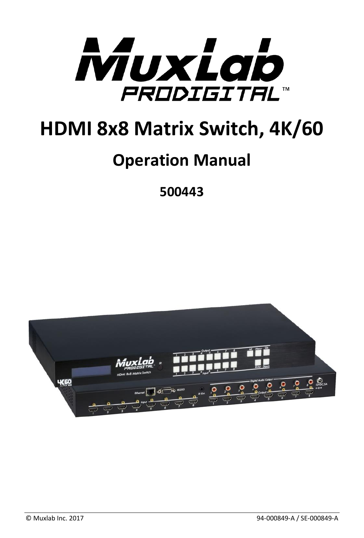

# **HDMI 8x8 Matrix Switch, 4K/60**

# **Operation Manual**

**500443**

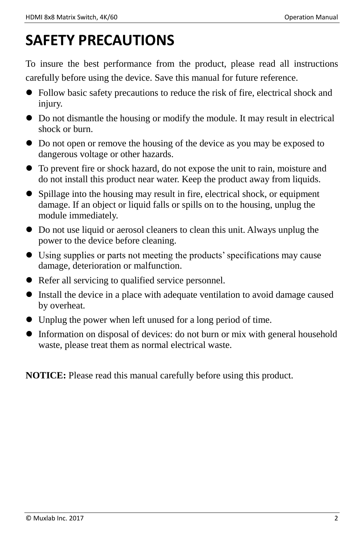## **SAFETY PRECAUTIONS**

To insure the best performance from the product, please read all instructions carefully before using the device. Save this manual for future reference.

- Follow basic safety precautions to reduce the risk of fire, electrical shock and injury.
- Do not dismantle the housing or modify the module. It may result in electrical shock or burn.
- Do not open or remove the housing of the device as you may be exposed to dangerous voltage or other hazards.
- To prevent fire or shock hazard, do not expose the unit to rain, moisture and do not install this product near water. Keep the product away from liquids.
- Spillage into the housing may result in fire, electrical shock, or equipment damage. If an object or liquid falls or spills on to the housing, unplug the module immediately.
- Do not use liquid or aerosol cleaners to clean this unit. Always unplug the power to the device before cleaning.
- Using supplies or parts not meeting the products' specifications may cause damage, deterioration or malfunction.
- Refer all servicing to qualified service personnel.
- Install the device in a place with adequate ventilation to avoid damage caused by overheat.
- Unplug the power when left unused for a long period of time.
- Information on disposal of devices: do not burn or mix with general household waste, please treat them as normal electrical waste.

**NOTICE:** Please read this manual carefully before using this product.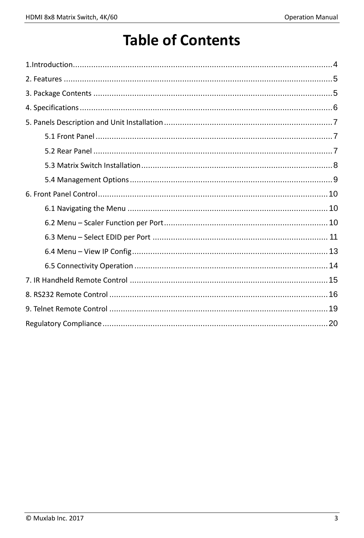## **Table of Contents**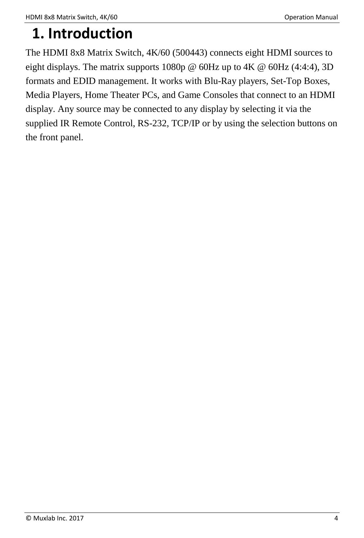## <span id="page-3-0"></span>**1. Introduction**

The HDMI 8x8 Matrix Switch, 4K/60 (500443) connects eight HDMI sources to eight displays. The matrix supports 1080p @ 60Hz up to 4K @ 60Hz (4:4:4), 3D formats and EDID management. It works with Blu-Ray players, Set-Top Boxes, Media Players, Home Theater PCs, and Game Consoles that connect to an HDMI display. Any source may be connected to any display by selecting it via the supplied IR Remote Control, RS-232, TCP/IP or by using the selection buttons on the front panel.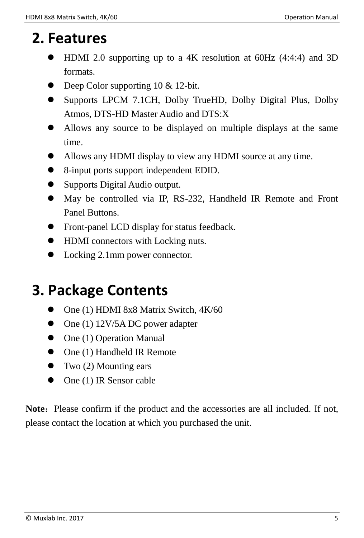## <span id="page-4-0"></span>**2. Features**

- HDMI 2.0 supporting up to a 4K resolution at 60Hz (4:4:4) and 3D formats.
- Deep Color supporting 10 & 12-bit.
- Supports LPCM 7.1CH, Dolby TrueHD, Dolby Digital Plus, Dolby Atmos, DTS-HD Master Audio and DTS:X
- Allows any source to be displayed on multiple displays at the same time.
- Allows any HDMI display to view any HDMI source at any time.
- 8-input ports support independent EDID.
- Supports Digital Audio output.
- May be controlled via IP, RS-232, Handheld IR Remote and Front Panel Buttons.
- Front-panel LCD display for status feedback.
- HDMI connectors with Locking nuts.
- Locking 2.1mm power connector.

## <span id="page-4-1"></span>**3. Package Contents**

- One (1) HDMI 8x8 Matrix Switch, 4K/60
- $\bullet$  One (1) 12V/5A DC power adapter
- $\bullet$  One (1) Operation Manual
- One (1) Handheld IR Remote
- $\bullet$  Two (2) Mounting ears
- $\bullet$  One (1) IR Sensor cable

**Note:** Please confirm if the product and the accessories are all included. If not, please contact the location at which you purchased the unit.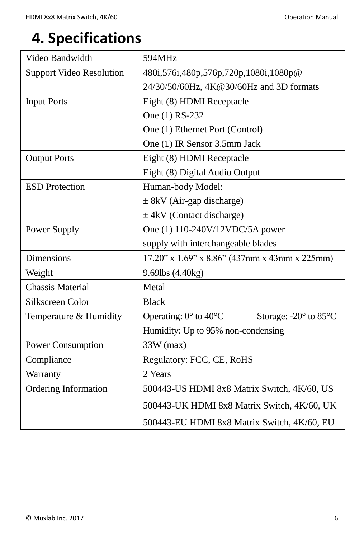## <span id="page-5-0"></span>**4. Specifications**

| Video Bandwidth                 | 594MHz                                                        |
|---------------------------------|---------------------------------------------------------------|
| <b>Support Video Resolution</b> | 480i, 576i, 480p, 576p, 720p, 1080i, 1080p@                   |
|                                 | 24/30/50/60Hz, 4K@30/60Hz and 3D formats                      |
| <b>Input Ports</b>              | Eight (8) HDMI Receptacle                                     |
|                                 | One (1) RS-232                                                |
|                                 | One (1) Ethernet Port (Control)                               |
|                                 | One (1) IR Sensor 3.5mm Jack                                  |
| <b>Output Ports</b>             | Eight (8) HDMI Receptacle                                     |
|                                 | Eight (8) Digital Audio Output                                |
| <b>ESD</b> Protection           | Human-body Model:                                             |
|                                 | $\pm$ 8kV (Air-gap discharge)                                 |
|                                 | $\pm$ 4kV (Contact discharge)                                 |
| Power Supply                    | One (1) 110-240V/12VDC/5A power                               |
|                                 | supply with interchangeable blades                            |
| <b>Dimensions</b>               | 17.20" x 1.69" x 8.86" (437mm x 43mm x 225mm)                 |
| Weight                          | 9.69lbs (4.40kg)                                              |
| <b>Chassis Material</b>         | Metal                                                         |
| Silkscreen Color                | <b>Black</b>                                                  |
| Temperature & Humidity          | Storage: -20° to 85°C<br>Operating: $0^\circ$ to $40^\circ$ C |
|                                 | Humidity: Up to 95% non-condensing                            |
| Power Consumption               | $33W$ (max)                                                   |
| Compliance                      | Regulatory: FCC, CE, RoHS                                     |
| Warranty                        | 2 Years                                                       |
| <b>Ordering Information</b>     | 500443-US HDMI 8x8 Matrix Switch, 4K/60, US                   |
|                                 | 500443-UK HDMI 8x8 Matrix Switch, 4K/60, UK                   |
|                                 | 500443-EU HDMI 8x8 Matrix Switch, 4K/60, EU                   |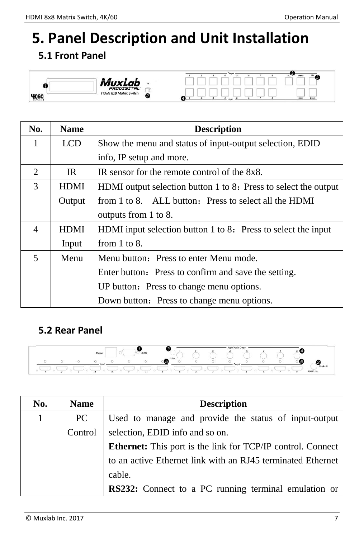# <span id="page-6-0"></span>**5. Panel Description and Unit Installation**

## <span id="page-6-1"></span>**5.1 Front Panel**



| No. | <b>Name</b> | <b>Description</b>                                              |
|-----|-------------|-----------------------------------------------------------------|
| 1   | <b>LCD</b>  | Show the menu and status of input-output selection, EDID        |
|     |             | info, IP setup and more.                                        |
| 2   | IR.         | IR sensor for the remote control of the 8x8.                    |
| 3   | <b>HDMI</b> | HDMI output selection button 1 to 8: Press to select the output |
|     | Output      | from 1 to 8. ALL button: Press to select all the HDMI           |
|     |             | outputs from 1 to 8.                                            |
| 4   | <b>HDMI</b> | HDMI input selection button 1 to 8: Press to select the input   |
|     | Input       | from $1$ to $8$ .                                               |
| 5   | Menu        | Menu button: Press to enter Menu mode.                          |
|     |             | Enter button: Press to confirm and save the setting.            |
|     |             | UP button: Press to change menu options.                        |
|     |             | Down button: Press to change menu options.                      |

#### <span id="page-6-2"></span>**5.2 Rear Panel**



| No. | <b>Name</b> | <b>Description</b>                                                 |
|-----|-------------|--------------------------------------------------------------------|
| 1   | PC.         | Used to manage and provide the status of input-output              |
|     | Control     | selection, EDID info and so on.                                    |
|     |             | <b>Ethernet:</b> This port is the link for TCP/IP control. Connect |
|     |             | to an active Ethernet link with an RJ45 terminated Ethernet        |
|     |             | cable.                                                             |
|     |             | RS232: Connect to a PC running terminal emulation or               |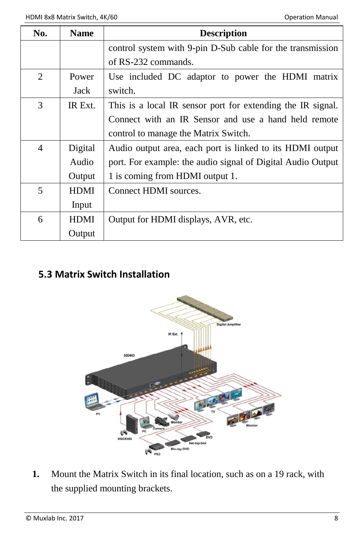| No.            | <b>Name</b> | <b>Description</b>                                          |  |  |  |  |
|----------------|-------------|-------------------------------------------------------------|--|--|--|--|
|                |             | control system with 9-pin D-Sub cable for the transmission  |  |  |  |  |
|                |             | of RS-232 commands.                                         |  |  |  |  |
| 2              | Power       | Use included DC adaptor to power the HDMI matrix            |  |  |  |  |
|                | Jack        | switch.                                                     |  |  |  |  |
| 3              | IR Ext.     | This is a local IR sensor port for extending the IR signal. |  |  |  |  |
|                |             | Connect with an IR Sensor and use a hand held remote        |  |  |  |  |
|                |             | control to manage the Matrix Switch.                        |  |  |  |  |
| $\overline{4}$ | Digital     | Audio output area, each port is linked to its HDMI output   |  |  |  |  |
|                | Audio       | port. For example: the audio signal of Digital Audio Output |  |  |  |  |
|                | Output      | 1 is coming from HDMI output 1.                             |  |  |  |  |
| 5              | <b>HDMI</b> | Connect HDMI sources.                                       |  |  |  |  |
|                | Input       |                                                             |  |  |  |  |
| 6              | <b>HDMI</b> | Output for HDMI displays, AVR, etc.                         |  |  |  |  |
|                | Output      |                                                             |  |  |  |  |

### <span id="page-7-0"></span>**5.3 Matrix Switch Installation**



**1.** Mount the Matrix Switch in its final location, such as on a 19 rack, with the supplied mounting brackets.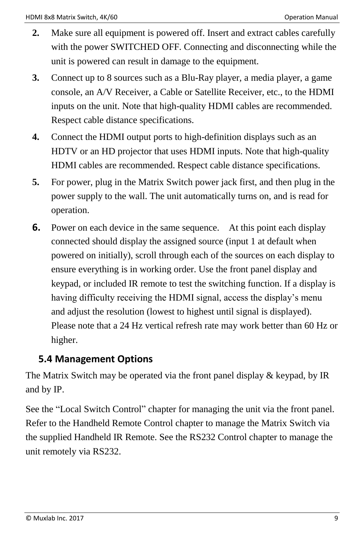- **2.** Make sure all equipment is powered off. Insert and extract cables carefully with the power SWITCHED OFF. Connecting and disconnecting while the unit is powered can result in damage to the equipment.
- **3.** Connect up to 8 sources such as a Blu-Ray player, a media player, a game console, an A/V Receiver, a Cable or Satellite Receiver, etc., to the HDMI inputs on the unit. Note that high-quality HDMI cables are recommended. Respect cable distance specifications.
- **4.** Connect the HDMI output ports to high-definition displays such as an HDTV or an HD projector that uses HDMI inputs. Note that high-quality HDMI cables are recommended. Respect cable distance specifications.
- **5.** For power, plug in the Matrix Switch power jack first, and then plug in the power supply to the wall. The unit automatically turns on, and is read for operation.
- **6.** Power on each device in the same sequence. At this point each display connected should display the assigned source (input 1 at default when powered on initially), scroll through each of the sources on each display to ensure everything is in working order. Use the front panel display and keypad, or included IR remote to test the switching function. If a display is having difficulty receiving the HDMI signal, access the display's menu and adjust the resolution (lowest to highest until signal is displayed). Please note that a 24 Hz vertical refresh rate may work better than 60 Hz or higher.

#### <span id="page-8-0"></span>**5.4 Management Options**

The Matrix Switch may be operated via the front panel display & keypad, by IR and by IP.

See the "Local Switch Control" chapter for managing the unit via the front panel. Refer to the Handheld Remote Control chapter to manage the Matrix Switch via the supplied Handheld IR Remote. See the RS232 Control chapter to manage the unit remotely via RS232.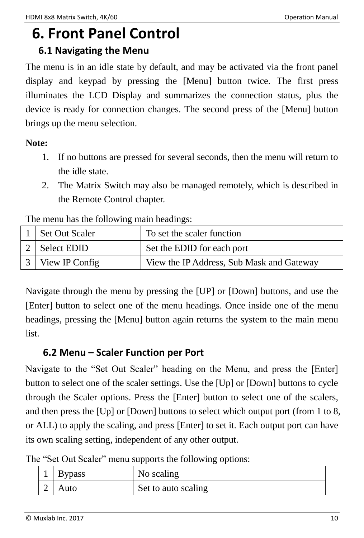# <span id="page-9-0"></span>**6. Front Panel Control**

#### <span id="page-9-1"></span>**6.1 Navigating the Menu**

The menu is in an idle state by default, and may be activated via the front panel display and keypad by pressing the [Menu] button twice. The first press illuminates the LCD Display and summarizes the connection status, plus the device is ready for connection changes. The second press of the [Menu] button brings up the menu selection.

#### **Note:**

- 1. If no buttons are pressed for several seconds, then the menu will return to the idle state.
- 2. The Matrix Switch may also be managed remotely, which is described in the Remote Control chapter.

The menu has the following main headings:

| Set Out Scaler   | To set the scaler function                |
|------------------|-------------------------------------------|
| 2 Select EDID    | Set the EDID for each port                |
| 3 View IP Config | View the IP Address, Sub Mask and Gateway |

Navigate through the menu by pressing the [UP] or [Down] buttons, and use the [Enter] button to select one of the menu headings. Once inside one of the menu headings, pressing the [Menu] button again returns the system to the main menu list.

### <span id="page-9-2"></span>**6.2 Menu – Scaler Function per Port**

Navigate to the "Set Out Scaler" heading on the Menu, and press the [Enter] button to select one of the scaler settings. Use the [Up] or [Down] buttons to cycle through the Scaler options. Press the [Enter] button to select one of the scalers, and then press the [Up] or [Down] buttons to select which output port (from 1 to 8, or ALL) to apply the scaling, and press [Enter] to set it. Each output port can have its own scaling setting, independent of any other output.

|  |  |  |  |  |  | The "Set Out Scaler" menu supports the following options: |  |
|--|--|--|--|--|--|-----------------------------------------------------------|--|
|--|--|--|--|--|--|-----------------------------------------------------------|--|

| 1 Bypass | No scaling          |
|----------|---------------------|
| Auto     | Set to auto scaling |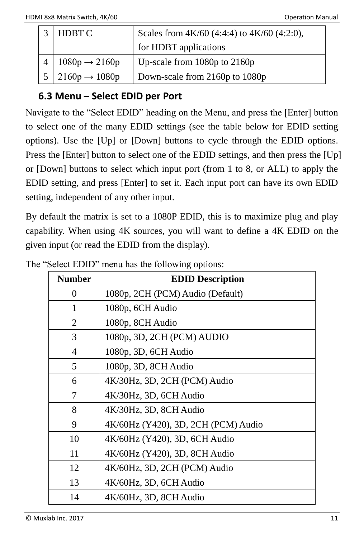| HDBT C                           | Scales from 4K/60 (4:4:4) to 4K/60 (4:2:0), |
|----------------------------------|---------------------------------------------|
|                                  | for HDBT applications                       |
| $1080p \rightarrow 2160p$        | Up-scale from $1080p$ to $2160p$            |
| $5 \mid 2160p \rightarrow 1080p$ | Down-scale from 2160p to 1080p              |

### <span id="page-10-0"></span>**6.3 Menu – Select EDID per Port**

Navigate to the "Select EDID" heading on the Menu, and press the [Enter] button to select one of the many EDID settings (see the table below for EDID setting options). Use the [Up] or [Down] buttons to cycle through the EDID options. Press the [Enter] button to select one of the EDID settings, and then press the [Up] or [Down] buttons to select which input port (from 1 to 8, or ALL) to apply the EDID setting, and press [Enter] to set it. Each input port can have its own EDID setting, independent of any other input.

By default the matrix is set to a 1080P EDID, this is to maximize plug and play capability. When using 4K sources, you will want to define a 4K EDID on the given input (or read the EDID from the display).

| <b>Number</b> | <b>EDID Description</b>             |
|---------------|-------------------------------------|
| 0             | 1080p, 2CH (PCM) Audio (Default)    |
| 1             | 1080p, 6CH Audio                    |
| 2             | 1080p, 8CH Audio                    |
| 3             | 1080p, 3D, 2CH (PCM) AUDIO          |
| 4             | 1080p, 3D, 6CH Audio                |
| 5             | 1080p, 3D, 8CH Audio                |
| 6             | 4K/30Hz, 3D, 2CH (PCM) Audio        |
| 7             | 4K/30Hz, 3D, 6CH Audio              |
| 8             | 4K/30Hz, 3D, 8CH Audio              |
| 9             | 4K/60Hz (Y420), 3D, 2CH (PCM) Audio |
| 10            | 4K/60Hz (Y420), 3D, 6CH Audio       |
| 11            | 4K/60Hz (Y420), 3D, 8CH Audio       |
| 12            | 4K/60Hz, 3D, 2CH (PCM) Audio        |
| 13            | 4K/60Hz, 3D, 6CH Audio              |
| 14            | 4K/60Hz, 3D, 8CH Audio              |

|  |  | The "Select EDID" menu has the following options: |  |  |  |  |  |  |  |
|--|--|---------------------------------------------------|--|--|--|--|--|--|--|
|--|--|---------------------------------------------------|--|--|--|--|--|--|--|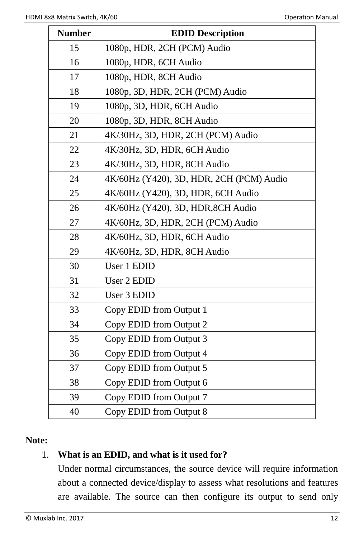| <b>Number</b> | <b>EDID Description</b>                  |
|---------------|------------------------------------------|
| 15            | 1080p, HDR, 2CH (PCM) Audio              |
| 16            | 1080p, HDR, 6CH Audio                    |
| 17            | 1080p, HDR, 8CH Audio                    |
| 18            | 1080p, 3D, HDR, 2CH (PCM) Audio          |
| 19            | 1080p, 3D, HDR, 6CH Audio                |
| 20            | 1080p, 3D, HDR, 8CH Audio                |
| 21            | 4K/30Hz, 3D, HDR, 2CH (PCM) Audio        |
| 22            | 4K/30Hz, 3D, HDR, 6CH Audio              |
| 23            | 4K/30Hz, 3D, HDR, 8CH Audio              |
| 24            | 4K/60Hz (Y420), 3D, HDR, 2CH (PCM) Audio |
| 25            | 4K/60Hz (Y420), 3D, HDR, 6CH Audio       |
| 26            | 4K/60Hz (Y420), 3D, HDR, 8CH Audio       |
| 27            | 4K/60Hz, 3D, HDR, 2CH (PCM) Audio        |
| 28            | 4K/60Hz, 3D, HDR, 6CH Audio              |
| 29            | 4K/60Hz, 3D, HDR, 8CH Audio              |
| 30            | User 1 EDID                              |
| 31            | User 2 EDID                              |
| 32            | User 3 EDID                              |
| 33            | Copy EDID from Output 1                  |
| 34            | Copy EDID from Output 2                  |
| 35            | Copy EDID from Output 3                  |
| 36            | Copy EDID from Output 4                  |
| 37            | Copy EDID from Output 5                  |
| 38            | Copy EDID from Output 6                  |
| 39            | Copy EDID from Output 7                  |
| 40            | Copy EDID from Output 8                  |

#### **Note:**

#### 1. **What is an EDID, and what is it used for?**

Under normal circumstances, the source device will require information about a connected device/display to assess what resolutions and features are available. The source can then configure its output to send only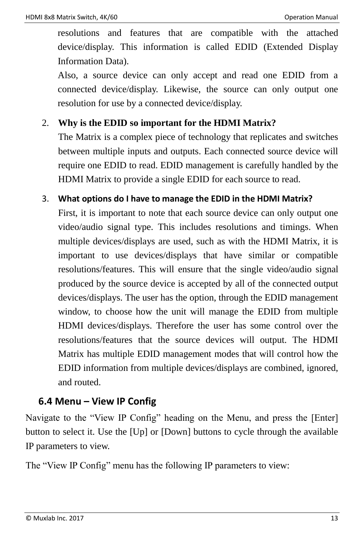resolutions and features that are compatible with the attached device/display. This information is called EDID (Extended Display Information Data).

Also, a source device can only accept and read one EDID from a connected device/display. Likewise, the source can only output one resolution for use by a connected device/display.

#### 2. **Why is the EDID so important for the HDMI Matrix?**

The Matrix is a complex piece of technology that replicates and switches between multiple inputs and outputs. Each connected source device will require one EDID to read. EDID management is carefully handled by the HDMI Matrix to provide a single EDID for each source to read.

#### 3. **What options do I have to manage the EDID in the HDMI Matrix?**

First, it is important to note that each source device can only output one video/audio signal type. This includes resolutions and timings. When multiple devices/displays are used, such as with the HDMI Matrix, it is important to use devices/displays that have similar or compatible resolutions/features. This will ensure that the single video/audio signal produced by the source device is accepted by all of the connected output devices/displays. The user has the option, through the EDID management window, to choose how the unit will manage the EDID from multiple HDMI devices/displays. Therefore the user has some control over the resolutions/features that the source devices will output. The HDMI Matrix has multiple EDID management modes that will control how the EDID information from multiple devices/displays are combined, ignored, and routed.

#### <span id="page-12-0"></span>**6.4 Menu – View IP Config**

Navigate to the "View IP Config" heading on the Menu, and press the [Enter] button to select it. Use the [Up] or [Down] buttons to cycle through the available IP parameters to view.

The "View IP Config" menu has the following IP parameters to view: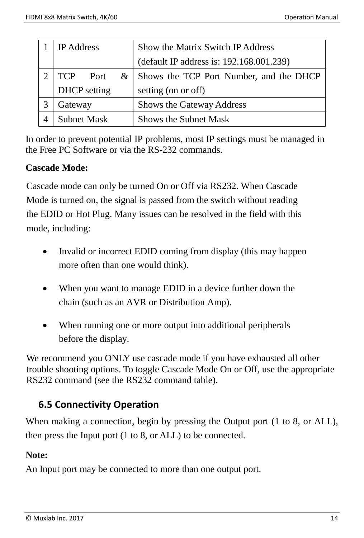| <b>IP</b> Address   |   | Show the Matrix Switch IP Address        |
|---------------------|---|------------------------------------------|
|                     |   | (default IP address is: 192.168.001.239) |
| TCP Port            | & | Shows the TCP Port Number, and the DHCP  |
| <b>DHCP</b> setting |   | setting (on or off)                      |
| Gateway             |   | Shows the Gateway Address                |
| <b>Subnet Mask</b>  |   | <b>Shows the Subnet Mask</b>             |

<span id="page-13-0"></span>In order to prevent potential IP problems, most IP settings must be managed in the Free PC Software or via the RS-232 commands.

#### **Cascade Mode:**

Cascade mode can only be turned On or Off via RS232. When Cascade Mode is turned on, the signal is passed from the switch without reading the EDID or Hot Plug. Many issues can be resolved in the field with this mode, including:

- Invalid or incorrect EDID coming from display (this may happen more often than one would think).
- When you want to manage EDID in a device further down the chain (such as an AVR or Distribution Amp).
- When running one or more output into additional peripherals before the display.

We recommend you ONLY use cascade mode if you have exhausted all other trouble shooting options. To toggle Cascade Mode On or Off, use the appropriate RS232 command (see the RS232 command table).

#### **6.5 Connectivity Operation**

When making a connection, begin by pressing the Output port (1 to 8, or ALL), then press the Input port (1 to 8, or ALL) to be connected.

#### **Note:**

An Input port may be connected to more than one output port.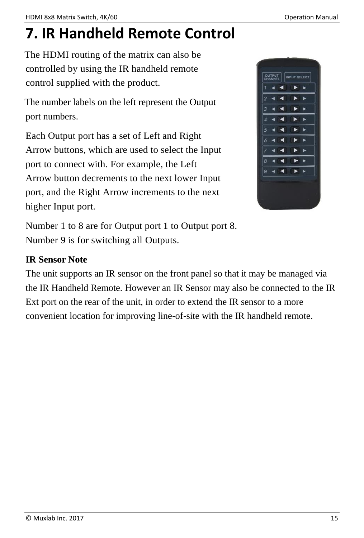## <span id="page-14-0"></span>**7. IR Handheld Remote Control**

The HDMI routing of the matrix can also be controlled by using the IR handheld remote control supplied with the product.

The number labels on the left represent the Output port numbers.

Each Output port has a set of Left and Right Arrow buttons, which are used to select the Input port to connect with. For example, the Left Arrow button decrements to the next lower Input port, and the Right Arrow increments to the next higher Input port.



Number 1 to 8 are for Output port 1 to Output port 8. Number 9 is for switching all Outputs.

#### **IR Sensor Note**

The unit supports an IR sensor on the front panel so that it may be managed via the IR Handheld Remote. However an IR Sensor may also be connected to the IR Ext port on the rear of the unit, in order to extend the IR sensor to a more convenient location for improving line-of-site with the IR handheld remote.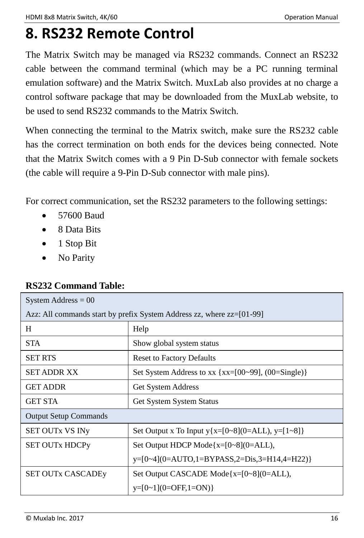## <span id="page-15-0"></span>**8. RS232 Remote Control**

The Matrix Switch may be managed via RS232 commands. Connect an RS232 cable between the command terminal (which may be a PC running terminal emulation software) and the Matrix Switch. MuxLab also provides at no charge a control software package that may be downloaded from the MuxLab website, to be used to send RS232 commands to the Matrix Switch.

When connecting the terminal to the Matrix switch, make sure the RS232 cable has the correct termination on both ends for the devices being connected. Note that the Matrix Switch comes with a 9 Pin D-Sub connector with female sockets (the cable will require a 9-Pin D-Sub connector with male pins).

For correct communication, set the RS232 parameters to the following settings:

- 57600 Baud
- 8 Data Bits
- $\bullet$  1 Stop Bit
- No Parity

#### **RS232 Command Table:**

| System Address $= 00$                                                   |                                                             |  |  |  |
|-------------------------------------------------------------------------|-------------------------------------------------------------|--|--|--|
| Azz: All commands start by prefix System Address zz, where $zz=[01-99]$ |                                                             |  |  |  |
| H                                                                       | Help                                                        |  |  |  |
| <b>STA</b>                                                              | Show global system status                                   |  |  |  |
| <b>SET RTS</b>                                                          | <b>Reset to Factory Defaults</b>                            |  |  |  |
| <b>SET ADDR XX</b>                                                      | Set System Address to $xx$ { $xx=[00-99]$ , $(00=Single)$ } |  |  |  |
| <b>GET ADDR</b>                                                         | Get System Address                                          |  |  |  |
| <b>GET STA</b>                                                          | <b>Get System System Status</b>                             |  |  |  |
| <b>Output Setup Commands</b>                                            |                                                             |  |  |  |
| <b>SET OUTX VS INV</b>                                                  | Set Output x To Input y{x=[0~8](0=ALL), y=[1~8]}            |  |  |  |
| <b>SET OUTX HDCPy</b>                                                   | Set Output HDCP Mode $\{x=[0-8](0=ALL),\}$                  |  |  |  |
|                                                                         | $v=[0-4](0=AUTO,1=BYPASS,2=Dis,3=H14,4=H22)$                |  |  |  |
| <b>SET OUTX CASCADEY</b>                                                | Set Output CASCADE Mode $\{x=[0-8](0=ALL)\}$                |  |  |  |
|                                                                         | $y=[0-1](0=OFF,1=ON)$                                       |  |  |  |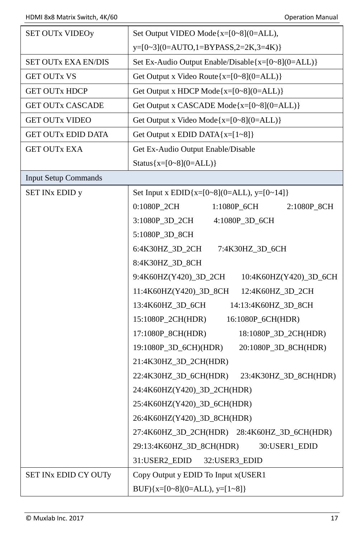| <b>SET OUTX VIDEOy</b>      | Set Output VIDEO Mode $\{x=[0-8](0=ALL),\}$             |
|-----------------------------|---------------------------------------------------------|
|                             | $y=[0-3](0=AUTO,1=BYPASS,2=2K,3=4K)$                    |
| <b>SET OUTX EXA EN/DIS</b>  | Set Ex-Audio Output Enable/Disable $\{x=[0-8](0=ALL)\}$ |
| <b>GET OUTX VS</b>          | Get Output x Video Route ${x=[0-8](0=ALL)}$             |
| <b>GET OUTX HDCP</b>        | Get Output x HDCP Mode ${x=[0-8](0=ALL)}$               |
| <b>GET OUTX CASCADE</b>     | Get Output x CASCADE Mode{x=[0~8](0=ALL)}               |
| <b>GET OUTX VIDEO</b>       | Get Output x Video Mode ${x=[0-8](0=ALL)}$              |
| <b>GET OUTX EDID DATA</b>   | Get Output x EDID DATA $\{x=[1-8]\}$                    |
| GET OUTx EXA                | Get Ex-Audio Output Enable/Disable                      |
|                             | Status ${x=[0-8](0=ALL)}$                               |
| <b>Input Setup Commands</b> |                                                         |
| SET INx EDID y              | Set Input x EDID{x=[0~8](0=ALL), y=[0~14]}              |
|                             | 0:1080P_2CH<br>1:1080P_6CH<br>2:1080P_8CH               |
|                             | 3:1080P_3D_2CH<br>4:1080P_3D_6CH                        |
|                             | 5:1080P_3D_8CH                                          |
|                             | 6:4K30HZ_3D_2CH<br>7:4K30HZ_3D_6CH                      |
|                             | 8:4K30HZ_3D_8CH                                         |
|                             | 9:4K60HZ(Y420)_3D_2CH<br>10:4K60HZ(Y420)_3D_6CH         |
|                             | 11:4K60HZ(Y420)_3D_8CH<br>12:4K60HZ_3D_2CH              |
|                             | 13:4K60HZ_3D_6CH<br>14:13:4K60HZ_3D_8CH                 |
|                             | 15:1080P_2CH(HDR)<br>16:1080P_6CH(HDR)                  |
|                             | 17:1080P_8CH(HDR)<br>18:1080P_3D_2CH(HDR)               |
|                             | 19:1080P_3D_6CH)(HDR)<br>20:1080P_3D_8CH(HDR)           |
|                             | 21:4K30HZ_3D_2CH(HDR)                                   |
|                             | 22:4K30HZ_3D_6CH(HDR)<br>23:4K30HZ_3D_8CH(HDR)          |
|                             | 24:4K60HZ(Y420)_3D_2CH(HDR)                             |
|                             | 25:4K60HZ(Y420)_3D_6CH(HDR)                             |
|                             | 26:4K60HZ(Y420)_3D_8CH(HDR)                             |
|                             | 27:4K60HZ_3D_2CH(HDR) 28:4K60HZ_3D_6CH(HDR)             |
|                             | 29:13:4K60HZ_3D_8CH(HDR)<br>30:USER1_EDID               |
|                             | 31:USER2_EDID<br>32:USER3_EDID                          |
| SET INX EDID CY OUTy        | Copy Output y EDID To Input x(USER1                     |
|                             | BUF) $\{x=[0-8](0=ALL), y=[1-8]\}$                      |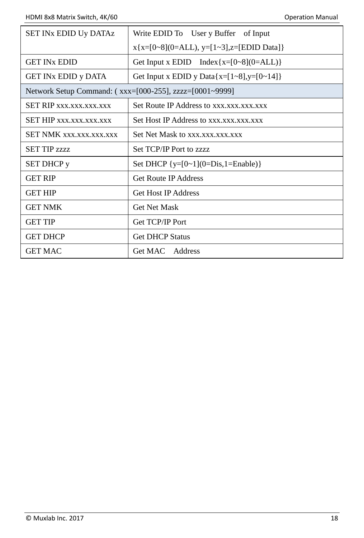| <b>SET INX EDID Uy DATAZ</b>                            | Write EDID To User y Buffer of Input            |  |  |  |
|---------------------------------------------------------|-------------------------------------------------|--|--|--|
|                                                         | $x\{x=[0-8](0=ALL), y=[1-3], z=[EDID Data]\}$   |  |  |  |
| <b>GET IN<sub>x</sub> EDID</b>                          | Get Input x EDID Index { $x=[0-8](0=ALL)$ }     |  |  |  |
| <b>GET INX EDID y DATA</b>                              | Get Input x EDID y Data $\{x=[1-8], y=[0-14]\}$ |  |  |  |
| Network Setup Command: (xxx=[000-255], zzzz=[0001~9999] |                                                 |  |  |  |
| <b>SET RIP xxx.xxx.xxx.xxx</b>                          | Set Route IP Address to xxx.xxx.xxx.xxx         |  |  |  |
| SET HIP xxx.xxx.xxx.xxx                                 | Set Host IP Address to xxx.xxx.xxx.xxx          |  |  |  |
| <b>SET NMK xxx.xxx.xxx.xxx</b>                          | Set Net Mask to xxx.xxx.xxx.xxx                 |  |  |  |
| <b>SET TIP 7777</b>                                     | Set TCP/IP Port to zzzz                         |  |  |  |
| <b>SET DHCP</b> y                                       | Set DHCP $\{v=[0-1](0=Dis,1=Enable)\}\$         |  |  |  |
| <b>GET RIP</b>                                          | <b>Get Route IP Address</b>                     |  |  |  |
| <b>GET HIP</b>                                          | <b>Get Host IP Address</b>                      |  |  |  |
| <b>GET NMK</b>                                          | <b>Get Net Mask</b>                             |  |  |  |
| <b>GET TIP</b>                                          | Get TCP/IP Port                                 |  |  |  |
| <b>GET DHCP</b>                                         | <b>Get DHCP Status</b>                          |  |  |  |
| <b>GET MAC</b>                                          | Get MAC Address                                 |  |  |  |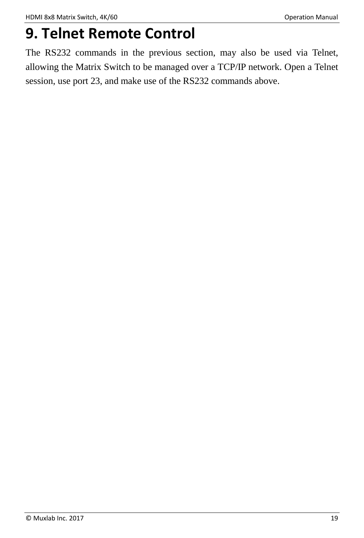## <span id="page-18-0"></span>**9. Telnet Remote Control**

The RS232 commands in the previous section, may also be used via Telnet, allowing the Matrix Switch to be managed over a TCP/IP network. Open a Telnet session, use port 23, and make use of the RS232 commands above.